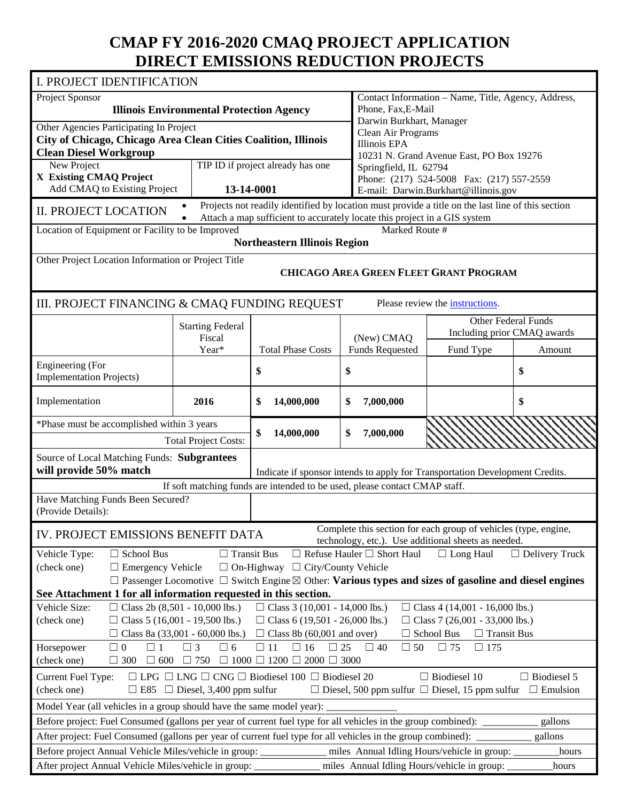# **CMAP FY 2016-2020 CMAQ PROJECT APPLICATION DIRECT EMISSIONS REDUCTION PROJECTS**

| I. PROJECT IDENTIFICATION                                                                                                                                                          |                                                 |                                                                                                                                   |                                                     |                                                                                                                        |                                       |  |  |
|------------------------------------------------------------------------------------------------------------------------------------------------------------------------------------|-------------------------------------------------|-----------------------------------------------------------------------------------------------------------------------------------|-----------------------------------------------------|------------------------------------------------------------------------------------------------------------------------|---------------------------------------|--|--|
| Project Sponsor                                                                                                                                                                    |                                                 |                                                                                                                                   | Contact Information - Name, Title, Agency, Address, |                                                                                                                        |                                       |  |  |
|                                                                                                                                                                                    | <b>Illinois Environmental Protection Agency</b> |                                                                                                                                   |                                                     | Phone, Fax, E-Mail                                                                                                     |                                       |  |  |
| Other Agencies Participating In Project                                                                                                                                            |                                                 |                                                                                                                                   | Darwin Burkhart, Manager<br>Clean Air Programs      |                                                                                                                        |                                       |  |  |
| City of Chicago, Chicago Area Clean Cities Coalition, Illinois                                                                                                                     |                                                 |                                                                                                                                   | <b>Illinois EPA</b>                                 |                                                                                                                        |                                       |  |  |
| <b>Clean Diesel Workgroup</b>                                                                                                                                                      |                                                 |                                                                                                                                   |                                                     | 10231 N. Grand Avenue East, PO Box 19276                                                                               |                                       |  |  |
| New Project                                                                                                                                                                        |                                                 | TIP ID if project already has one                                                                                                 | Springfield, IL 62794                               |                                                                                                                        |                                       |  |  |
| X Existing CMAQ Project<br>Add CMAQ to Existing Project                                                                                                                            | 13-14-0001                                      |                                                                                                                                   |                                                     | Phone: (217) 524-5008 Fax: (217) 557-2559<br>E-mail: Darwin.Burkhart@illinois.gov                                      |                                       |  |  |
|                                                                                                                                                                                    |                                                 | Projects not readily identified by location must provide a title on the last line of this section                                 |                                                     |                                                                                                                        |                                       |  |  |
| <b>II. PROJECT LOCATION</b>                                                                                                                                                        |                                                 | Attach a map sufficient to accurately locate this project in a GIS system                                                         |                                                     |                                                                                                                        |                                       |  |  |
| Location of Equipment or Facility to be Improved                                                                                                                                   |                                                 | <b>Northeastern Illinois Region</b>                                                                                               | Marked Route #                                      |                                                                                                                        |                                       |  |  |
| Other Project Location Information or Project Title                                                                                                                                |                                                 |                                                                                                                                   |                                                     |                                                                                                                        |                                       |  |  |
|                                                                                                                                                                                    |                                                 |                                                                                                                                   |                                                     | <b>CHICAGO AREA GREEN FLEET GRANT PROGRAM</b>                                                                          |                                       |  |  |
| III. PROJECT FINANCING & CMAQ FUNDING REQUEST                                                                                                                                      |                                                 |                                                                                                                                   |                                                     | Please review the instructions.                                                                                        |                                       |  |  |
|                                                                                                                                                                                    | <b>Starting Federal</b><br>Fiscal               |                                                                                                                                   | (New) CMAQ                                          | <b>Other Federal Funds</b><br>Including prior CMAQ awards                                                              |                                       |  |  |
|                                                                                                                                                                                    | Year*                                           | <b>Total Phase Costs</b>                                                                                                          | <b>Funds Requested</b>                              | Fund Type                                                                                                              | Amount                                |  |  |
| Engineering (For                                                                                                                                                                   |                                                 | \$                                                                                                                                | \$                                                  |                                                                                                                        | \$                                    |  |  |
| <b>Implementation Projects)</b>                                                                                                                                                    |                                                 |                                                                                                                                   |                                                     |                                                                                                                        |                                       |  |  |
| Implementation                                                                                                                                                                     | 2016                                            | \$<br>14,000,000                                                                                                                  | 7,000,000<br>\$                                     |                                                                                                                        | \$                                    |  |  |
| *Phase must be accomplished within 3 years                                                                                                                                         |                                                 |                                                                                                                                   |                                                     |                                                                                                                        |                                       |  |  |
|                                                                                                                                                                                    |                                                 |                                                                                                                                   |                                                     |                                                                                                                        |                                       |  |  |
|                                                                                                                                                                                    | <b>Total Project Costs:</b>                     | \$<br>14,000,000                                                                                                                  | 7,000,000<br>\$                                     |                                                                                                                        |                                       |  |  |
| Source of Local Matching Funds: Subgrantees                                                                                                                                        |                                                 |                                                                                                                                   |                                                     |                                                                                                                        |                                       |  |  |
| will provide 50% match                                                                                                                                                             |                                                 |                                                                                                                                   |                                                     | Indicate if sponsor intends to apply for Transportation Development Credits.                                           |                                       |  |  |
|                                                                                                                                                                                    |                                                 | If soft matching funds are intended to be used, please contact CMAP staff.                                                        |                                                     |                                                                                                                        |                                       |  |  |
| Have Matching Funds Been Secured?<br>(Provide Details):                                                                                                                            |                                                 |                                                                                                                                   |                                                     |                                                                                                                        |                                       |  |  |
| IV. PROJECT EMISSIONS BENEFIT DATA                                                                                                                                                 |                                                 |                                                                                                                                   |                                                     | Complete this section for each group of vehicles (type, engine,<br>technology, etc.). Use additional sheets as needed. |                                       |  |  |
| $\Box$ School Bus<br>Vehicle Type:                                                                                                                                                 | $\Box$ Transit Bus                              |                                                                                                                                   | $\Box$ Refuse Hauler $\Box$ Short Haul              | $\Box$ Long Haul                                                                                                       | $\Box$ Delivery Truck                 |  |  |
| (check one)<br>$\Box$ Emergency Vehicle                                                                                                                                            |                                                 | $\Box$ On-Highway $\Box$ City/County Vehicle                                                                                      |                                                     |                                                                                                                        |                                       |  |  |
|                                                                                                                                                                                    |                                                 | $\Box$ Passenger Locomotive $\Box$ Switch Engine $\boxtimes$ Other: <b>Various types and sizes of gasoline and diesel engines</b> |                                                     |                                                                                                                        |                                       |  |  |
| See Attachment 1 for all information requested in this section.                                                                                                                    |                                                 |                                                                                                                                   |                                                     |                                                                                                                        |                                       |  |  |
| Vehicle Size:                                                                                                                                                                      | $\Box$ Class 2b (8,501 - 10,000 lbs.)           | $\Box$ Class 3 (10,001 - 14,000 lbs.)                                                                                             |                                                     | $\Box$ Class 4 (14,001 - 16,000 lbs.)                                                                                  |                                       |  |  |
| (check one)                                                                                                                                                                        | $\Box$ Class 5 (16,001 - 19,500 lbs.)           | $\Box$ Class 6 (19,501 - 26,000 lbs.)                                                                                             |                                                     | $\Box$ Class 7 (26,001 - 33,000 lbs.)                                                                                  |                                       |  |  |
|                                                                                                                                                                                    | □ Class 8a (33,001 - 60,000 lbs.)               | $\Box$ Class 8b (60,001 and over)                                                                                                 |                                                     | $\Box$ Transit Bus<br>$\Box$ School Bus                                                                                |                                       |  |  |
| $\Box$ 0<br>$\Box$ 1<br>Horsepower<br>(check one)<br>$\Box$ 300                                                                                                                    | $\Box$ 3<br>$\Box$ 6<br>$\Box$ 600 $\Box$ 750   | $\Box$ 11<br>$\Box$ 16<br>$\Box$ 1000 $\Box$ 1200 $\Box$ 2000 $\Box$ 3000                                                         | $\Box$ 50<br>$\Box$ 25<br>$\Box$ 40                 | $\Box$ 75<br>$\Box$ 175                                                                                                |                                       |  |  |
|                                                                                                                                                                                    |                                                 |                                                                                                                                   |                                                     |                                                                                                                        |                                       |  |  |
| Current Fuel Type:<br>(check one)                                                                                                                                                  | $\Box$ E85 $\Box$ Diesel, 3,400 ppm sulfur      | $\Box$ LPG $\Box$ LNG $\Box$ CNG $\Box$ Biodiesel 100 $\Box$ Biodiesel 20                                                         |                                                     | $\Box$ Biodiesel 10<br>$\Box$ Diesel, 500 ppm sulfur $\Box$ Diesel, 15 ppm sulfur                                      | $\Box$ Biodiesel 5<br>$\Box$ Emulsion |  |  |
| Model Year (all vehicles in a group should have the same model year):                                                                                                              |                                                 |                                                                                                                                   |                                                     |                                                                                                                        |                                       |  |  |
|                                                                                                                                                                                    |                                                 |                                                                                                                                   |                                                     |                                                                                                                        |                                       |  |  |
| Before project: Fuel Consumed (gallons per year of current fuel type for all vehicles in the group combined): ______                                                               |                                                 |                                                                                                                                   |                                                     |                                                                                                                        | gallons<br>gallons                    |  |  |
| After project: Fuel Consumed (gallons per year of current fuel type for all vehicles in the group combined):<br>Before project Annual Vehicle Miles/vehicle in group: ____________ |                                                 |                                                                                                                                   |                                                     | miles Annual Idling Hours/vehicle in group:                                                                            | hours                                 |  |  |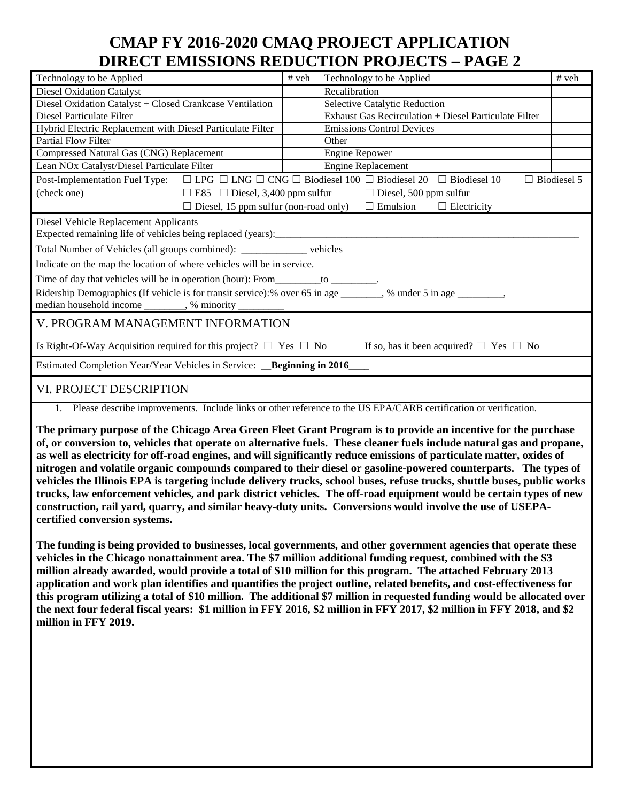# **CMAP FY 2016-2020 CMAQ PROJECT APPLICATION DIRECT EMISSIONS REDUCTION PROJECTS – PAGE 2**

| Technology to be Applied                                                                                                                     | # veh | Technology to be Applied                                                           | # veh              |  |  |  |
|----------------------------------------------------------------------------------------------------------------------------------------------|-------|------------------------------------------------------------------------------------|--------------------|--|--|--|
| <b>Diesel Oxidation Catalyst</b>                                                                                                             |       | Recalibration                                                                      |                    |  |  |  |
| Diesel Oxidation Catalyst + Closed Crankcase Ventilation                                                                                     |       | Selective Catalytic Reduction                                                      |                    |  |  |  |
| Diesel Particulate Filter                                                                                                                    |       | Exhaust Gas Recirculation + Diesel Particulate Filter                              |                    |  |  |  |
| Hybrid Electric Replacement with Diesel Particulate Filter                                                                                   |       | <b>Emissions Control Devices</b>                                                   |                    |  |  |  |
| <b>Partial Flow Filter</b>                                                                                                                   |       | Other                                                                              |                    |  |  |  |
| Compressed Natural Gas (CNG) Replacement                                                                                                     |       | Engine Repower                                                                     |                    |  |  |  |
| Lean NOx Catalyst/Diesel Particulate Filter                                                                                                  |       | Engine Replacement                                                                 |                    |  |  |  |
| Post-Implementation Fuel Type: $\Box$ LPG $\Box$ LNG $\Box$ CNG $\Box$ Biodiesel 100 $\Box$ Biodiesel 20 $\Box$ Biodiesel 10                 |       |                                                                                    | $\Box$ Biodiesel 5 |  |  |  |
| (check one)                                                                                                                                  |       | $\Box$ E85 $\Box$ Diesel, 3,400 ppm sulfur $\Box$ Diesel, 500 ppm sulfur           |                    |  |  |  |
|                                                                                                                                              |       | $\Box$ Diesel, 15 ppm sulfur (non-road only) $\Box$ Emulsion<br>$\Box$ Electricity |                    |  |  |  |
| Diesel Vehicle Replacement Applicants                                                                                                        |       |                                                                                    |                    |  |  |  |
| Expected remaining life of vehicles being replaced (years):                                                                                  |       |                                                                                    |                    |  |  |  |
| Total Number of Vehicles (all groups combined): ____________ vehicles                                                                        |       |                                                                                    |                    |  |  |  |
| Indicate on the map the location of where vehicles will be in service.                                                                       |       |                                                                                    |                    |  |  |  |
|                                                                                                                                              |       |                                                                                    |                    |  |  |  |
|                                                                                                                                              |       |                                                                                    |                    |  |  |  |
| median household income _________, % minority __________                                                                                     |       |                                                                                    |                    |  |  |  |
| V. PROGRAM MANAGEMENT INFORMATION                                                                                                            |       |                                                                                    |                    |  |  |  |
| Is Right-Of-Way Acquisition required for this project? $\Box$ Yes $\Box$ No                                                                  |       | If so, has it been acquired? $\Box$ Yes $\Box$ No                                  |                    |  |  |  |
| Estimated Completion Year/Year Vehicles in Service: __Beginning in 2016_                                                                     |       |                                                                                    |                    |  |  |  |
| VI. PROJECT DESCRIPTION<br>1 Dlogge describe improvements. Include links or other reference to the US EDA/CADB certification or verification |       |                                                                                    |                    |  |  |  |

1. Please describe improvements. Include links or other reference to the US EPA/CARB certification or verification.

**The primary purpose of the Chicago Area Green Fleet Grant Program is to provide an incentive for the purchase of, or conversion to, vehicles that operate on alternative fuels. These cleaner fuels include natural gas and propane, as well as electricity for off-road engines, and will significantly reduce emissions of particulate matter, oxides of nitrogen and volatile organic compounds compared to their diesel or gasoline-powered counterparts. The types of vehicles the Illinois EPA is targeting include delivery trucks, school buses, refuse trucks, shuttle buses, public works trucks, law enforcement vehicles, and park district vehicles. The off-road equipment would be certain types of new construction, rail yard, quarry, and similar heavy-duty units. Conversions would involve the use of USEPAcertified conversion systems.** 

**The funding is being provided to businesses, local governments, and other government agencies that operate these vehicles in the Chicago nonattainment area. The \$7 million additional funding request, combined with the \$3 million already awarded, would provide a total of \$10 million for this program. The attached February 2013 application and work plan identifies and quantifies the project outline, related benefits, and cost-effectiveness for this program utilizing a total of \$10 million. The additional \$7 million in requested funding would be allocated over the next four federal fiscal years: \$1 million in FFY 2016, \$2 million in FFY 2017, \$2 million in FFY 2018, and \$2 million in FFY 2019.**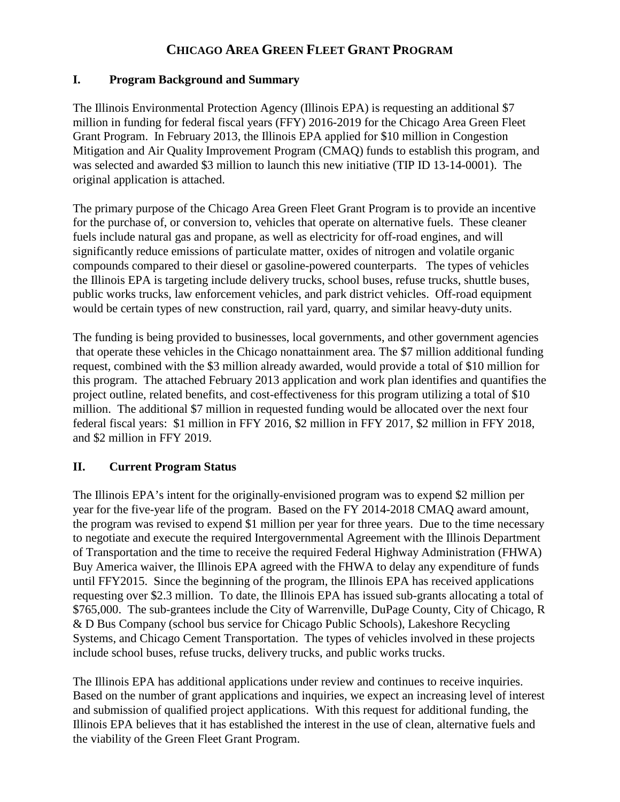## **CHICAGO AREA GREEN FLEET GRANT PROGRAM**

## **I. Program Background and Summary**

The Illinois Environmental Protection Agency (Illinois EPA) is requesting an additional \$7 million in funding for federal fiscal years (FFY) 2016-2019 for the Chicago Area Green Fleet Grant Program. In February 2013, the Illinois EPA applied for \$10 million in Congestion Mitigation and Air Quality Improvement Program (CMAQ) funds to establish this program, and was selected and awarded \$3 million to launch this new initiative (TIP ID 13-14-0001). The original application is attached.

The primary purpose of the Chicago Area Green Fleet Grant Program is to provide an incentive for the purchase of, or conversion to, vehicles that operate on alternative fuels. These cleaner fuels include natural gas and propane, as well as electricity for off-road engines, and will significantly reduce emissions of particulate matter, oxides of nitrogen and volatile organic compounds compared to their diesel or gasoline-powered counterparts. The types of vehicles the Illinois EPA is targeting include delivery trucks, school buses, refuse trucks, shuttle buses, public works trucks, law enforcement vehicles, and park district vehicles. Off-road equipment would be certain types of new construction, rail yard, quarry, and similar heavy-duty units.

The funding is being provided to businesses, local governments, and other government agencies that operate these vehicles in the Chicago nonattainment area. The \$7 million additional funding request, combined with the \$3 million already awarded, would provide a total of \$10 million for this program. The attached February 2013 application and work plan identifies and quantifies the project outline, related benefits, and cost-effectiveness for this program utilizing a total of \$10 million. The additional \$7 million in requested funding would be allocated over the next four federal fiscal years: \$1 million in FFY 2016, \$2 million in FFY 2017, \$2 million in FFY 2018, and \$2 million in FFY 2019.

## **II. Current Program Status**

The Illinois EPA's intent for the originally-envisioned program was to expend \$2 million per year for the five-year life of the program. Based on the FY 2014-2018 CMAQ award amount, the program was revised to expend \$1 million per year for three years. Due to the time necessary to negotiate and execute the required Intergovernmental Agreement with the Illinois Department of Transportation and the time to receive the required Federal Highway Administration (FHWA) Buy America waiver, the Illinois EPA agreed with the FHWA to delay any expenditure of funds until FFY2015. Since the beginning of the program, the Illinois EPA has received applications requesting over \$2.3 million. To date, the Illinois EPA has issued sub-grants allocating a total of \$765,000. The sub-grantees include the City of Warrenville, DuPage County, City of Chicago, R & D Bus Company (school bus service for Chicago Public Schools), Lakeshore Recycling Systems, and Chicago Cement Transportation. The types of vehicles involved in these projects include school buses, refuse trucks, delivery trucks, and public works trucks.

The Illinois EPA has additional applications under review and continues to receive inquiries. Based on the number of grant applications and inquiries, we expect an increasing level of interest and submission of qualified project applications. With this request for additional funding, the Illinois EPA believes that it has established the interest in the use of clean, alternative fuels and the viability of the Green Fleet Grant Program.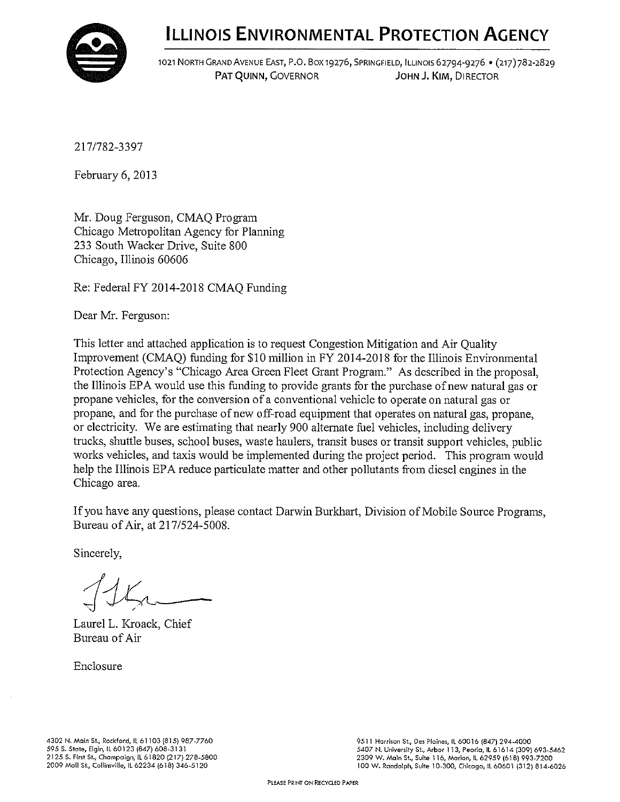

1021 NORTH GRAND AVENUE EAST, P.O. BOX 19276, SPRINGFIELD, ILLINOIS 62794-9276 · (217) 782-2829 PAT QUINN, GOVERNOR JOHN J. KIM, DIRECTOR

217/782-3397

February 6, 2013

Mr. Doug Ferguson, CMAQ Program Chicago Metropolitan Agency for Planning 233 South Wacker Drive, Suite 800 Chicago, Illinois 60606

Re: Federal FY 2014-2018 CMAQ Funding

Dear Mr. Ferguson:

This letter and attached application is to request Congestion Mitigation and Air Quality Improvement (CMAO) funding for \$10 million in FY 2014-2018 for the Illinois Environmental Protection Agency's "Chicago Area Green Fleet Grant Program." As described in the proposal, the Illinois EPA would use this funding to provide grants for the purchase of new natural gas or propane vehicles, for the conversion of a conventional vehicle to operate on natural gas or propane, and for the purchase of new off-road equipment that operates on natural gas, propane, or electricity. We are estimating that nearly 900 alternate fuel vehicles, including delivery trucks, shuttle buses, school buses, waste haulers, transit buses or transit support vehicles, public works vehicles, and taxis would be implemented during the project period. This program would help the Illinois EPA reduce particulate matter and other pollutants from diesel engines in the Chicago area.

If you have any questions, please contact Darwin Burkhart, Division of Mobile Source Programs, Bureau of Air, at 217/524-5008.

Sincerely.

Laurel L. Kroack, Chief Bureau of Air

Enclosure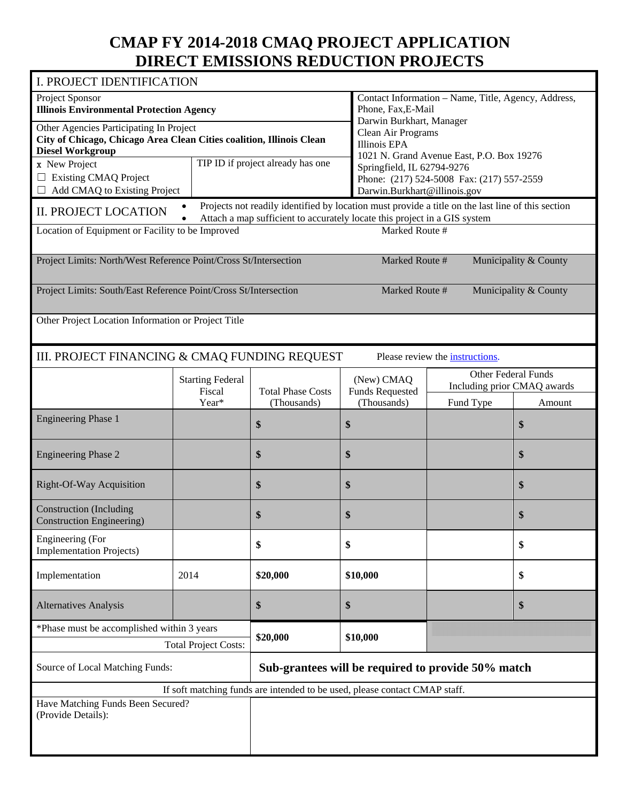# **CMAP FY 2014-2018 CMAQ PROJECT APPLICATION DIRECT EMISSIONS REDUCTION PROJECTS**

| I. PROJECT IDENTIFICATION                                                                       |                                   |                                                                                                       |                                      |                                           |                                                           |  |  |
|-------------------------------------------------------------------------------------------------|-----------------------------------|-------------------------------------------------------------------------------------------------------|--------------------------------------|-------------------------------------------|-----------------------------------------------------------|--|--|
| Project Sponsor<br><b>Illinois Environmental Protection Agency</b>                              |                                   | Contact Information - Name, Title, Agency, Address,<br>Phone, Fax, E-Mail<br>Darwin Burkhart, Manager |                                      |                                           |                                                           |  |  |
| Other Agencies Participating In Project                                                         |                                   |                                                                                                       | Clean Air Programs                   |                                           |                                                           |  |  |
| City of Chicago, Chicago Area Clean Cities coalition, Illinois Clean<br><b>Diesel Workgroup</b> |                                   |                                                                                                       | <b>Illinois EPA</b>                  |                                           |                                                           |  |  |
| x New Project                                                                                   |                                   | TIP ID if project already has one                                                                     |                                      | 1021 N. Grand Avenue East, P.O. Box 19276 |                                                           |  |  |
| $\Box$ Existing CMAQ Project                                                                    |                                   |                                                                                                       | Springfield, IL 62794-9276           | Phone: (217) 524-5008 Fax: (217) 557-2559 |                                                           |  |  |
| $\Box$ Add CMAQ to Existing Project                                                             |                                   |                                                                                                       | Darwin.Burkhart@illinois.gov         |                                           |                                                           |  |  |
|                                                                                                 |                                   | Projects not readily identified by location must provide a title on the last line of this section     |                                      |                                           |                                                           |  |  |
| <b>II. PROJECT LOCATION</b>                                                                     |                                   | Attach a map sufficient to accurately locate this project in a GIS system                             |                                      |                                           |                                                           |  |  |
| Location of Equipment or Facility to be Improved                                                |                                   |                                                                                                       | Marked Route #                       |                                           |                                                           |  |  |
| Project Limits: North/West Reference Point/Cross St/Intersection                                |                                   |                                                                                                       | Marked Route #                       |                                           | Municipality & County                                     |  |  |
| Project Limits: South/East Reference Point/Cross St/Intersection                                |                                   |                                                                                                       | Marked Route #                       |                                           | Municipality & County                                     |  |  |
| Other Project Location Information or Project Title                                             |                                   |                                                                                                       |                                      |                                           |                                                           |  |  |
| III. PROJECT FINANCING & CMAQ FUNDING REQUEST                                                   |                                   |                                                                                                       |                                      | Please review the instructions.           |                                                           |  |  |
|                                                                                                 | <b>Starting Federal</b><br>Fiscal | <b>Total Phase Costs</b>                                                                              | (New) CMAQ<br><b>Funds Requested</b> |                                           | <b>Other Federal Funds</b><br>Including prior CMAQ awards |  |  |
|                                                                                                 | Year*                             | (Thousands)                                                                                           | (Thousands)                          | Fund Type                                 | Amount                                                    |  |  |
| <b>Engineering Phase 1</b>                                                                      |                                   | \$                                                                                                    | \$                                   |                                           | \$                                                        |  |  |
| <b>Engineering Phase 2</b>                                                                      |                                   | \$                                                                                                    | \$                                   |                                           | \$                                                        |  |  |
| Right-Of-Way Acquisition                                                                        |                                   | \$                                                                                                    | \$                                   |                                           | \$                                                        |  |  |
| <b>Construction</b> (Including<br><b>Construction Engineering</b> )                             |                                   | \$                                                                                                    | \$                                   |                                           | \$                                                        |  |  |
| Engineering (For<br><b>Implementation Projects)</b>                                             |                                   | \$                                                                                                    | \$                                   |                                           | \$                                                        |  |  |
| Implementation                                                                                  | 2014                              | \$20,000                                                                                              | \$10,000                             |                                           | \$                                                        |  |  |
| <b>Alternatives Analysis</b>                                                                    |                                   | \$                                                                                                    | \$                                   |                                           | \$                                                        |  |  |
| *Phase must be accomplished within 3 years                                                      |                                   |                                                                                                       |                                      |                                           |                                                           |  |  |
|                                                                                                 | <b>Total Project Costs:</b>       | \$20,000                                                                                              | \$10,000                             |                                           |                                                           |  |  |
| Source of Local Matching Funds:                                                                 |                                   | Sub-grantees will be required to provide 50% match                                                    |                                      |                                           |                                                           |  |  |
|                                                                                                 |                                   | If soft matching funds are intended to be used, please contact CMAP staff.                            |                                      |                                           |                                                           |  |  |
| Have Matching Funds Been Secured?<br>(Provide Details):                                         |                                   |                                                                                                       |                                      |                                           |                                                           |  |  |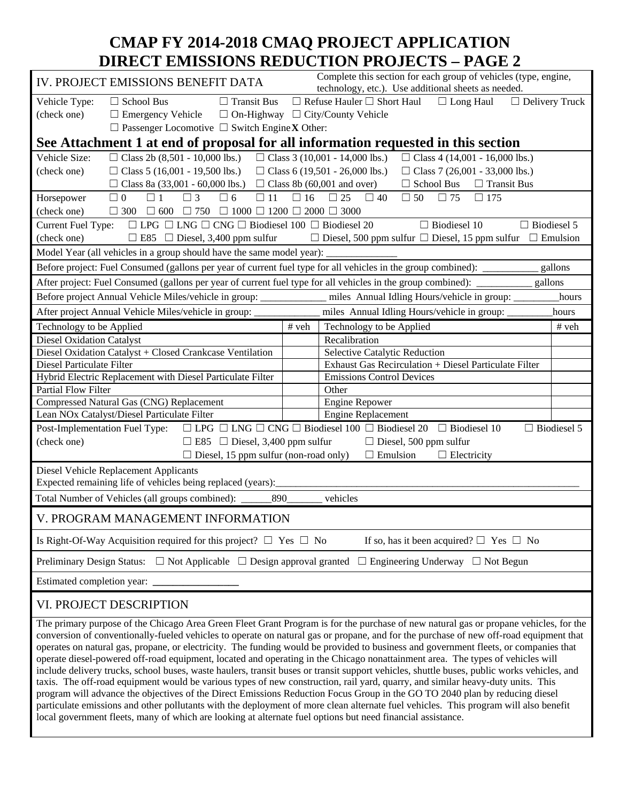# **CMAP FY 2014-2018 CMAQ PROJECT APPLICATION DIRECT EMISSIONS REDUCTION PROJECTS – PAGE 2**

|                                                                                                                                                 | Complete this section for each group of vehicles (type, engine,<br>IV. PROJECT EMISSIONS BENEFIT DATA<br>technology, etc.). Use additional sheets as needed. |                                      |                                                                                                                                       |                    |  |  |  |
|-------------------------------------------------------------------------------------------------------------------------------------------------|--------------------------------------------------------------------------------------------------------------------------------------------------------------|--------------------------------------|---------------------------------------------------------------------------------------------------------------------------------------|--------------------|--|--|--|
| $\Box$ School Bus<br>$\Box$ Transit Bus<br>$\Box$ Refuse Hauler $\Box$ Short Haul<br>$\Box$ Long Haul<br>Vehicle Type:<br>$\Box$ Delivery Truck |                                                                                                                                                              |                                      |                                                                                                                                       |                    |  |  |  |
| (check one)                                                                                                                                     | $\Box$ Emergency Vehicle                                                                                                                                     |                                      | $\Box$ On-Highway $\Box$ City/County Vehicle                                                                                          |                    |  |  |  |
|                                                                                                                                                 | $\Box$ Passenger Locomotive $\Box$ Switch Engine <b>X</b> Other:                                                                                             |                                      |                                                                                                                                       |                    |  |  |  |
|                                                                                                                                                 |                                                                                                                                                              |                                      | See Attachment 1 at end of proposal for all information requested in this section                                                     |                    |  |  |  |
| Vehicle Size:                                                                                                                                   | $\Box$ Class 2b (8,501 - 10,000 lbs.)                                                                                                                        |                                      | $\Box$ Class 3 (10,001 - 14,000 lbs.)<br>$\Box$ Class 4 (14,001 - 16,000 lbs.)                                                        |                    |  |  |  |
| (check one)                                                                                                                                     | $\Box$ Class 5 (16,001 - 19,500 lbs.)                                                                                                                        |                                      | □ Class 6 (19,501 - 26,000 lbs.)<br>□ Class 7 (26,001 - 33,000 lbs.)                                                                  |                    |  |  |  |
|                                                                                                                                                 | □ Class 8a (33,001 - 60,000 lbs.)                                                                                                                            |                                      | $\Box$ Class 8b (60,001 and over)<br>$\Box$ School Bus $\Box$ Transit Bus                                                             |                    |  |  |  |
| Horsepower                                                                                                                                      | $\Box$ 0<br>$\Box$ 1<br>$\Box$ 3<br>$\Box$ 6<br>$\square$ 11                                                                                                 | $\Box$ 16                            | $\Box$ 25<br>$\Box$ 40<br>$\Box$ 50<br>$\Box$ 75<br>$\Box$ 175                                                                        |                    |  |  |  |
| (check one)                                                                                                                                     | $\Box 300 \quad \Box 600 \quad \Box 750 \quad \Box 1000 \quad \Box 1200 \quad \Box 2000 \quad \Box 3000$                                                     |                                      |                                                                                                                                       |                    |  |  |  |
| <b>Current Fuel Type:</b>                                                                                                                       | $\Box$ LPG $\Box$ LNG $\Box$ CNG $\Box$ Biodiesel 100 $\Box$ Biodiesel 20                                                                                    |                                      | $\Box$ Biodiesel 10<br>$\Box$ Biodiesel 5                                                                                             |                    |  |  |  |
| (check one)                                                                                                                                     | $\Box$ E85 $\Box$ Diesel, 3,400 ppm sulfur                                                                                                                   |                                      | $\Box$ Diesel, 500 ppm sulfur $\Box$ Diesel, 15 ppm sulfur $\Box$ Emulsion                                                            |                    |  |  |  |
|                                                                                                                                                 | Model Year (all vehicles in a group should have the same model year):                                                                                        |                                      |                                                                                                                                       |                    |  |  |  |
|                                                                                                                                                 |                                                                                                                                                              |                                      | Before project: Fuel Consumed (gallons per year of current fuel type for all vehicles in the group combined): ________                | gallons            |  |  |  |
|                                                                                                                                                 |                                                                                                                                                              |                                      | After project: Fuel Consumed (gallons per year of current fuel type for all vehicles in the group combined):<br>gallons               |                    |  |  |  |
|                                                                                                                                                 | Before project Annual Vehicle Miles/vehicle in group: ____________                                                                                           |                                      | miles Annual Idling Hours/vehicle in group:                                                                                           | hours              |  |  |  |
|                                                                                                                                                 | After project Annual Vehicle Miles/vehicle in group:                                                                                                         |                                      | miles Annual Idling Hours/vehicle in group:                                                                                           | hours              |  |  |  |
| Technology to be Applied                                                                                                                        |                                                                                                                                                              | # veh                                | Technology to be Applied                                                                                                              | # veh              |  |  |  |
| <b>Diesel Oxidation Catalyst</b>                                                                                                                |                                                                                                                                                              |                                      | Recalibration                                                                                                                         |                    |  |  |  |
|                                                                                                                                                 | Diesel Oxidation Catalyst + Closed Crankcase Ventilation                                                                                                     | <b>Selective Catalytic Reduction</b> |                                                                                                                                       |                    |  |  |  |
| Diesel Particulate Filter                                                                                                                       |                                                                                                                                                              |                                      | Exhaust Gas Recirculation + Diesel Particulate Filter                                                                                 |                    |  |  |  |
| Partial Flow Filter                                                                                                                             | Hybrid Electric Replacement with Diesel Particulate Filter                                                                                                   |                                      | <b>Emissions Control Devices</b><br>Other                                                                                             |                    |  |  |  |
|                                                                                                                                                 | Compressed Natural Gas (CNG) Replacement                                                                                                                     |                                      | <b>Engine Repower</b>                                                                                                                 |                    |  |  |  |
|                                                                                                                                                 | Lean NOx Catalyst/Diesel Particulate Filter                                                                                                                  |                                      | <b>Engine Replacement</b>                                                                                                             |                    |  |  |  |
|                                                                                                                                                 | Post-Implementation Fuel Type:                                                                                                                               |                                      | $\Box$ LPG $\Box$ LNG $\Box$ CNG $\Box$ Biodiesel 100 $\Box$ Biodiesel 20 $\Box$ Biodiesel 10                                         | $\Box$ Biodiesel 5 |  |  |  |
| (check one)                                                                                                                                     | $\Box$ E85 $\Box$ Diesel, 3,400 ppm sulfur                                                                                                                   |                                      | $\Box$ Diesel, 500 ppm sulfur                                                                                                         |                    |  |  |  |
|                                                                                                                                                 | $\Box$ Diesel, 15 ppm sulfur (non-road only)                                                                                                                 |                                      | $\Box$ Emulsion<br>$\Box$ Electricity                                                                                                 |                    |  |  |  |
|                                                                                                                                                 | Diesel Vehicle Replacement Applicants                                                                                                                        |                                      |                                                                                                                                       |                    |  |  |  |
|                                                                                                                                                 | Expected remaining life of vehicles being replaced (years):                                                                                                  |                                      |                                                                                                                                       |                    |  |  |  |
|                                                                                                                                                 | Total Number of Vehicles (all groups combined): _____<br>890                                                                                                 |                                      | vehicles                                                                                                                              |                    |  |  |  |
|                                                                                                                                                 | V. PROGRAM MANAGEMENT INFORMATION                                                                                                                            |                                      |                                                                                                                                       |                    |  |  |  |
|                                                                                                                                                 | If so, has it been acquired? $\Box$ Yes $\Box$ No<br>Is Right-Of-Way Acquisition required for this project? $\Box$ Yes $\Box$ No                             |                                      |                                                                                                                                       |                    |  |  |  |
| <b>Preliminary Design Status:</b>                                                                                                               | $\Box$ Not Applicable $\Box$ Design approval granted                                                                                                         |                                      | $\Box$ Engineering Underway $\Box$ Not Begun                                                                                          |                    |  |  |  |
| Estimated completion year:                                                                                                                      |                                                                                                                                                              |                                      |                                                                                                                                       |                    |  |  |  |
|                                                                                                                                                 | VI. PROJECT DESCRIPTION                                                                                                                                      |                                      |                                                                                                                                       |                    |  |  |  |
|                                                                                                                                                 |                                                                                                                                                              |                                      | The primary purpose of the Chicago Area Green Fleet Grant Program is for the purchase of new natural gas or propane vehicles, for the |                    |  |  |  |
|                                                                                                                                                 |                                                                                                                                                              |                                      | of conventionally fueled vehicles to energie on natural gas or propens, and for the purchase of new off road equipment that           |                    |  |  |  |

conversion of conventionally-fueled vehicles to operate on natural gas or propane, and for the purchase of new off-road equipment that operates on natural gas, propane, or electricity. The funding would be provided to business and government fleets, or companies that operate diesel-powered off-road equipment, located and operating in the Chicago nonattainment area. The types of vehicles will include delivery trucks, school buses, waste haulers, transit buses or transit support vehicles, shuttle buses, public works vehicles, and taxis. The off-road equipment would be various types of new construction, rail yard, quarry, and similar heavy-duty units. This program will advance the objectives of the Direct Emissions Reduction Focus Group in the GO TO 2040 plan by reducing diesel particulate emissions and other pollutants with the deployment of more clean alternate fuel vehicles. This program will also benefit local government fleets, many of which are looking at alternate fuel options but need financial assistance.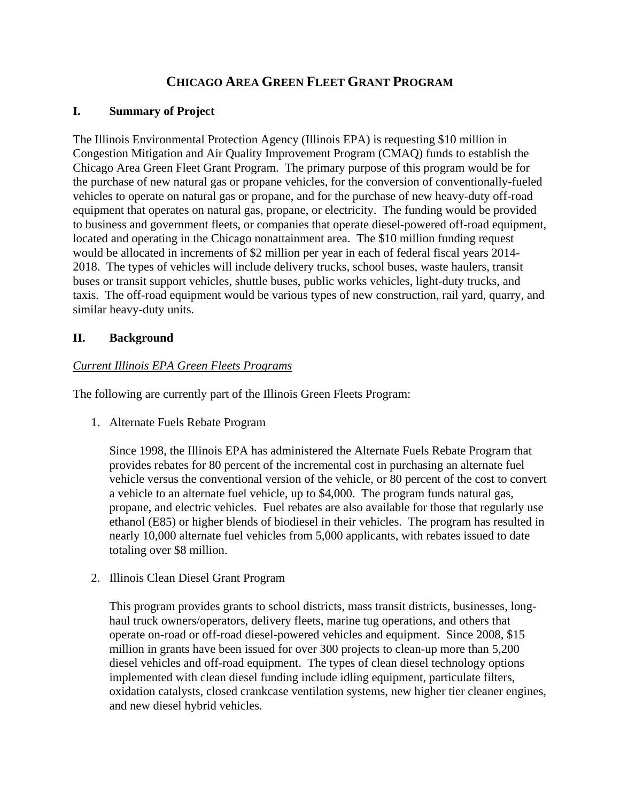## **CHICAGO AREA GREEN FLEET GRANT PROGRAM**

## **I. Summary of Project**

The Illinois Environmental Protection Agency (Illinois EPA) is requesting \$10 million in Congestion Mitigation and Air Quality Improvement Program (CMAQ) funds to establish the Chicago Area Green Fleet Grant Program. The primary purpose of this program would be for the purchase of new natural gas or propane vehicles, for the conversion of conventionally-fueled vehicles to operate on natural gas or propane, and for the purchase of new heavy-duty off-road equipment that operates on natural gas, propane, or electricity. The funding would be provided to business and government fleets, or companies that operate diesel-powered off-road equipment, located and operating in the Chicago nonattainment area. The \$10 million funding request would be allocated in increments of \$2 million per year in each of federal fiscal years 2014- 2018. The types of vehicles will include delivery trucks, school buses, waste haulers, transit buses or transit support vehicles, shuttle buses, public works vehicles, light-duty trucks, and taxis. The off-road equipment would be various types of new construction, rail yard, quarry, and similar heavy-duty units.

## **II. Background**

## *Current Illinois EPA Green Fleets Programs*

The following are currently part of the Illinois Green Fleets Program:

1. Alternate Fuels Rebate Program

Since 1998, the Illinois EPA has administered the Alternate Fuels Rebate Program that provides rebates for 80 percent of the incremental cost in purchasing an alternate fuel vehicle versus the conventional version of the vehicle, or 80 percent of the cost to convert a vehicle to an alternate fuel vehicle, up to \$4,000. The program funds natural gas, propane, and electric vehicles. Fuel rebates are also available for those that regularly use ethanol (E85) or higher blends of biodiesel in their vehicles. The program has resulted in nearly 10,000 alternate fuel vehicles from 5,000 applicants, with rebates issued to date totaling over \$8 million.

2. Illinois Clean Diesel Grant Program

This program provides grants to school districts, mass transit districts, businesses, longhaul truck owners/operators, delivery fleets, marine tug operations, and others that operate on-road or off-road diesel-powered vehicles and equipment. Since 2008, \$15 million in grants have been issued for over 300 projects to clean-up more than 5,200 diesel vehicles and off-road equipment. The types of clean diesel technology options implemented with clean diesel funding include idling equipment, particulate filters, oxidation catalysts, closed crankcase ventilation systems, new higher tier cleaner engines, and new diesel hybrid vehicles.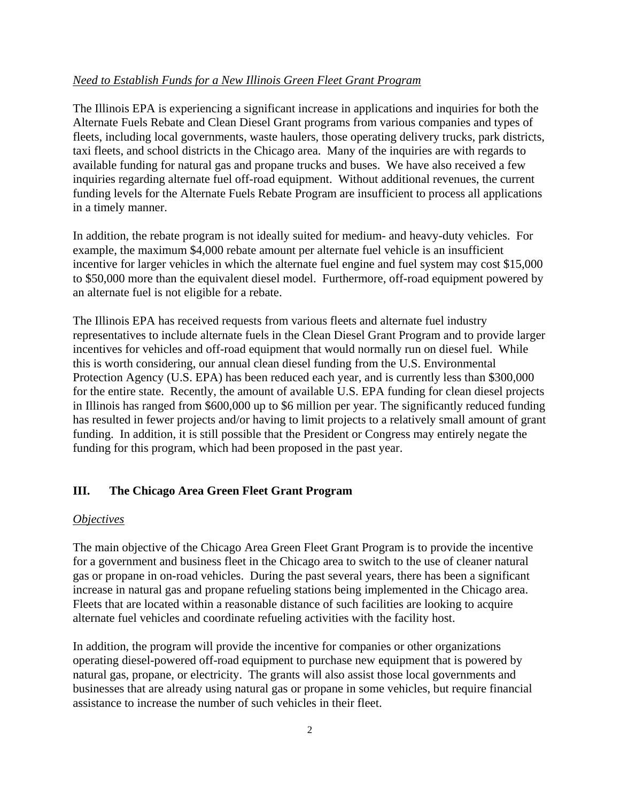### *Need to Establish Funds for a New Illinois Green Fleet Grant Program*

The Illinois EPA is experiencing a significant increase in applications and inquiries for both the Alternate Fuels Rebate and Clean Diesel Grant programs from various companies and types of fleets, including local governments, waste haulers, those operating delivery trucks, park districts, taxi fleets, and school districts in the Chicago area. Many of the inquiries are with regards to available funding for natural gas and propane trucks and buses. We have also received a few inquiries regarding alternate fuel off-road equipment. Without additional revenues, the current funding levels for the Alternate Fuels Rebate Program are insufficient to process all applications in a timely manner.

In addition, the rebate program is not ideally suited for medium- and heavy-duty vehicles. For example, the maximum \$4,000 rebate amount per alternate fuel vehicle is an insufficient incentive for larger vehicles in which the alternate fuel engine and fuel system may cost \$15,000 to \$50,000 more than the equivalent diesel model. Furthermore, off-road equipment powered by an alternate fuel is not eligible for a rebate.

The Illinois EPA has received requests from various fleets and alternate fuel industry representatives to include alternate fuels in the Clean Diesel Grant Program and to provide larger incentives for vehicles and off-road equipment that would normally run on diesel fuel. While this is worth considering, our annual clean diesel funding from the U.S. Environmental Protection Agency (U.S. EPA) has been reduced each year, and is currently less than \$300,000 for the entire state. Recently, the amount of available U.S. EPA funding for clean diesel projects in Illinois has ranged from \$600,000 up to \$6 million per year. The significantly reduced funding has resulted in fewer projects and/or having to limit projects to a relatively small amount of grant funding. In addition, it is still possible that the President or Congress may entirely negate the funding for this program, which had been proposed in the past year.

### **III. The Chicago Area Green Fleet Grant Program**

#### *Objectives*

The main objective of the Chicago Area Green Fleet Grant Program is to provide the incentive for a government and business fleet in the Chicago area to switch to the use of cleaner natural gas or propane in on-road vehicles. During the past several years, there has been a significant increase in natural gas and propane refueling stations being implemented in the Chicago area. Fleets that are located within a reasonable distance of such facilities are looking to acquire alternate fuel vehicles and coordinate refueling activities with the facility host.

In addition, the program will provide the incentive for companies or other organizations operating diesel-powered off-road equipment to purchase new equipment that is powered by natural gas, propane, or electricity. The grants will also assist those local governments and businesses that are already using natural gas or propane in some vehicles, but require financial assistance to increase the number of such vehicles in their fleet.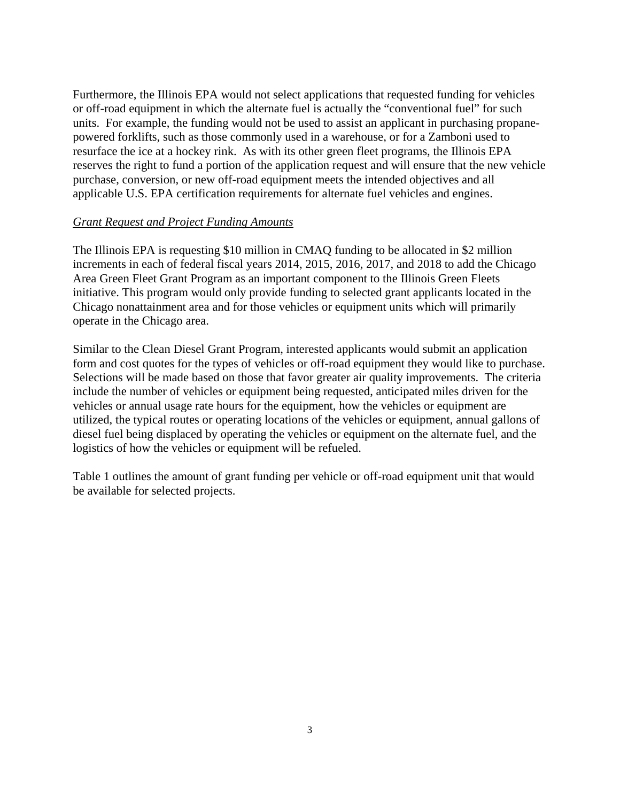Furthermore, the Illinois EPA would not select applications that requested funding for vehicles or off-road equipment in which the alternate fuel is actually the "conventional fuel" for such units. For example, the funding would not be used to assist an applicant in purchasing propanepowered forklifts, such as those commonly used in a warehouse, or for a Zamboni used to resurface the ice at a hockey rink. As with its other green fleet programs, the Illinois EPA reserves the right to fund a portion of the application request and will ensure that the new vehicle purchase, conversion, or new off-road equipment meets the intended objectives and all applicable U.S. EPA certification requirements for alternate fuel vehicles and engines.

#### *Grant Request and Project Funding Amounts*

The Illinois EPA is requesting \$10 million in CMAQ funding to be allocated in \$2 million increments in each of federal fiscal years 2014, 2015, 2016, 2017, and 2018 to add the Chicago Area Green Fleet Grant Program as an important component to the Illinois Green Fleets initiative. This program would only provide funding to selected grant applicants located in the Chicago nonattainment area and for those vehicles or equipment units which will primarily operate in the Chicago area.

Similar to the Clean Diesel Grant Program, interested applicants would submit an application form and cost quotes for the types of vehicles or off-road equipment they would like to purchase. Selections will be made based on those that favor greater air quality improvements. The criteria include the number of vehicles or equipment being requested, anticipated miles driven for the vehicles or annual usage rate hours for the equipment, how the vehicles or equipment are utilized, the typical routes or operating locations of the vehicles or equipment, annual gallons of diesel fuel being displaced by operating the vehicles or equipment on the alternate fuel, and the logistics of how the vehicles or equipment will be refueled.

Table 1 outlines the amount of grant funding per vehicle or off-road equipment unit that would be available for selected projects.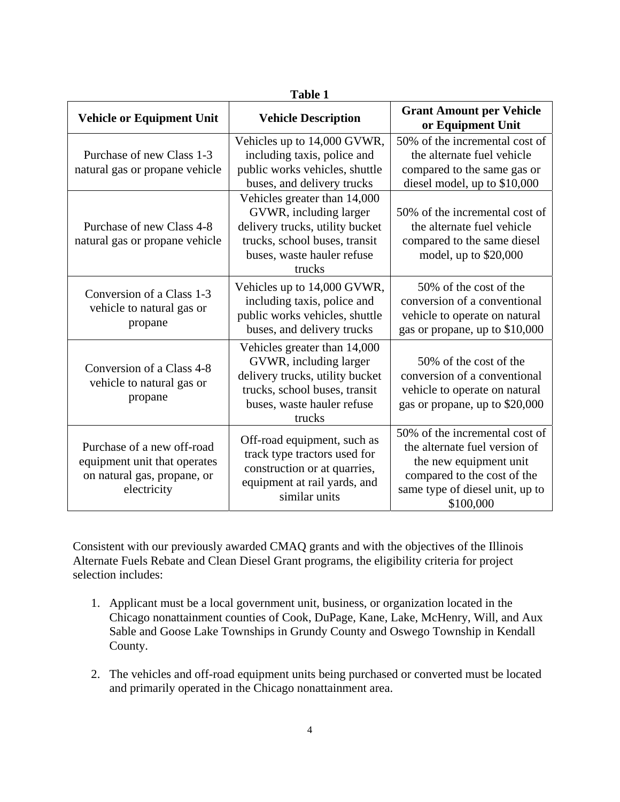| <b>Table 1</b>                                                                                           |                                                                                                                                                                    |                                                                                                                                                                          |  |  |  |  |  |
|----------------------------------------------------------------------------------------------------------|--------------------------------------------------------------------------------------------------------------------------------------------------------------------|--------------------------------------------------------------------------------------------------------------------------------------------------------------------------|--|--|--|--|--|
| <b>Vehicle or Equipment Unit</b>                                                                         | <b>Vehicle Description</b>                                                                                                                                         | <b>Grant Amount per Vehicle</b><br>or Equipment Unit                                                                                                                     |  |  |  |  |  |
| Purchase of new Class 1-3<br>natural gas or propane vehicle                                              | Vehicles up to 14,000 GVWR,<br>including taxis, police and<br>public works vehicles, shuttle<br>buses, and delivery trucks                                         | 50% of the incremental cost of<br>the alternate fuel vehicle<br>compared to the same gas or<br>diesel model, up to \$10,000                                              |  |  |  |  |  |
| Purchase of new Class 4-8<br>natural gas or propane vehicle                                              | Vehicles greater than 14,000<br>GVWR, including larger<br>delivery trucks, utility bucket<br>trucks, school buses, transit<br>buses, waste hauler refuse<br>trucks | 50% of the incremental cost of<br>the alternate fuel vehicle<br>compared to the same diesel<br>model, up to \$20,000                                                     |  |  |  |  |  |
| Conversion of a Class 1-3<br>vehicle to natural gas or<br>propane                                        | Vehicles up to 14,000 GVWR,<br>including taxis, police and<br>public works vehicles, shuttle<br>buses, and delivery trucks                                         | 50% of the cost of the<br>conversion of a conventional<br>vehicle to operate on natural<br>gas or propane, up to \$10,000                                                |  |  |  |  |  |
| Conversion of a Class 4-8<br>vehicle to natural gas or<br>propane                                        | Vehicles greater than 14,000<br>GVWR, including larger<br>delivery trucks, utility bucket<br>trucks, school buses, transit<br>buses, waste hauler refuse<br>trucks | 50% of the cost of the<br>conversion of a conventional<br>vehicle to operate on natural<br>gas or propane, up to \$20,000                                                |  |  |  |  |  |
| Purchase of a new off-road<br>equipment unit that operates<br>on natural gas, propane, or<br>electricity | Off-road equipment, such as<br>track type tractors used for<br>construction or at quarries,<br>equipment at rail yards, and<br>similar units                       | 50% of the incremental cost of<br>the alternate fuel version of<br>the new equipment unit<br>compared to the cost of the<br>same type of diesel unit, up to<br>\$100,000 |  |  |  |  |  |

Consistent with our previously awarded CMAQ grants and with the objectives of the Illinois Alternate Fuels Rebate and Clean Diesel Grant programs, the eligibility criteria for project selection includes:

- 1. Applicant must be a local government unit, business, or organization located in the Chicago nonattainment counties of Cook, DuPage, Kane, Lake, McHenry, Will, and Aux Sable and Goose Lake Townships in Grundy County and Oswego Township in Kendall County.
- 2. The vehicles and off-road equipment units being purchased or converted must be located and primarily operated in the Chicago nonattainment area.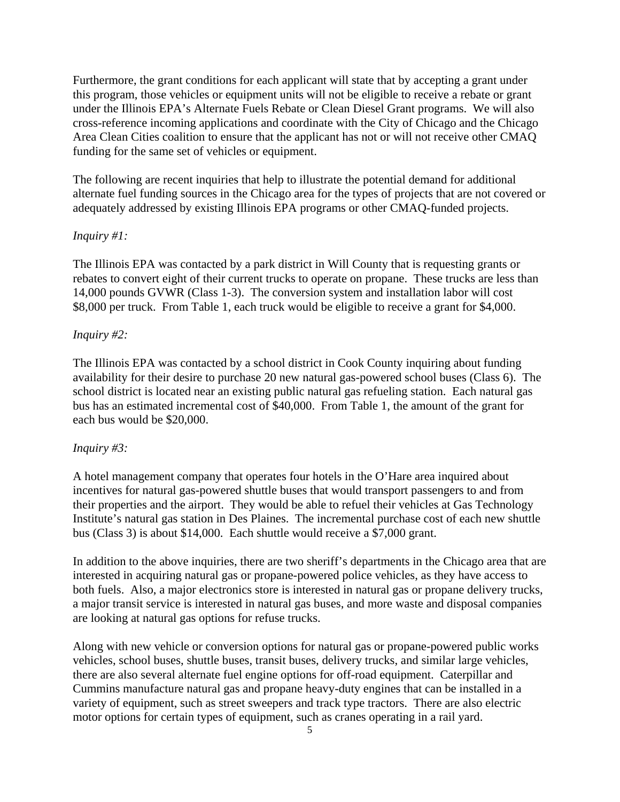Furthermore, the grant conditions for each applicant will state that by accepting a grant under this program, those vehicles or equipment units will not be eligible to receive a rebate or grant under the Illinois EPA's Alternate Fuels Rebate or Clean Diesel Grant programs. We will also cross-reference incoming applications and coordinate with the City of Chicago and the Chicago Area Clean Cities coalition to ensure that the applicant has not or will not receive other CMAQ funding for the same set of vehicles or equipment.

The following are recent inquiries that help to illustrate the potential demand for additional alternate fuel funding sources in the Chicago area for the types of projects that are not covered or adequately addressed by existing Illinois EPA programs or other CMAQ-funded projects.

#### *Inquiry #1:*

The Illinois EPA was contacted by a park district in Will County that is requesting grants or rebates to convert eight of their current trucks to operate on propane. These trucks are less than 14,000 pounds GVWR (Class 1-3). The conversion system and installation labor will cost \$8,000 per truck. From Table 1, each truck would be eligible to receive a grant for \$4,000.

#### *Inquiry #2:*

The Illinois EPA was contacted by a school district in Cook County inquiring about funding availability for their desire to purchase 20 new natural gas-powered school buses (Class 6). The school district is located near an existing public natural gas refueling station. Each natural gas bus has an estimated incremental cost of \$40,000. From Table 1, the amount of the grant for each bus would be \$20,000.

#### *Inquiry #3:*

A hotel management company that operates four hotels in the O'Hare area inquired about incentives for natural gas-powered shuttle buses that would transport passengers to and from their properties and the airport. They would be able to refuel their vehicles at Gas Technology Institute's natural gas station in Des Plaines. The incremental purchase cost of each new shuttle bus (Class 3) is about \$14,000. Each shuttle would receive a \$7,000 grant.

In addition to the above inquiries, there are two sheriff's departments in the Chicago area that are interested in acquiring natural gas or propane-powered police vehicles, as they have access to both fuels. Also, a major electronics store is interested in natural gas or propane delivery trucks, a major transit service is interested in natural gas buses, and more waste and disposal companies are looking at natural gas options for refuse trucks.

Along with new vehicle or conversion options for natural gas or propane-powered public works vehicles, school buses, shuttle buses, transit buses, delivery trucks, and similar large vehicles, there are also several alternate fuel engine options for off-road equipment. Caterpillar and Cummins manufacture natural gas and propane heavy-duty engines that can be installed in a variety of equipment, such as street sweepers and track type tractors. There are also electric motor options for certain types of equipment, such as cranes operating in a rail yard.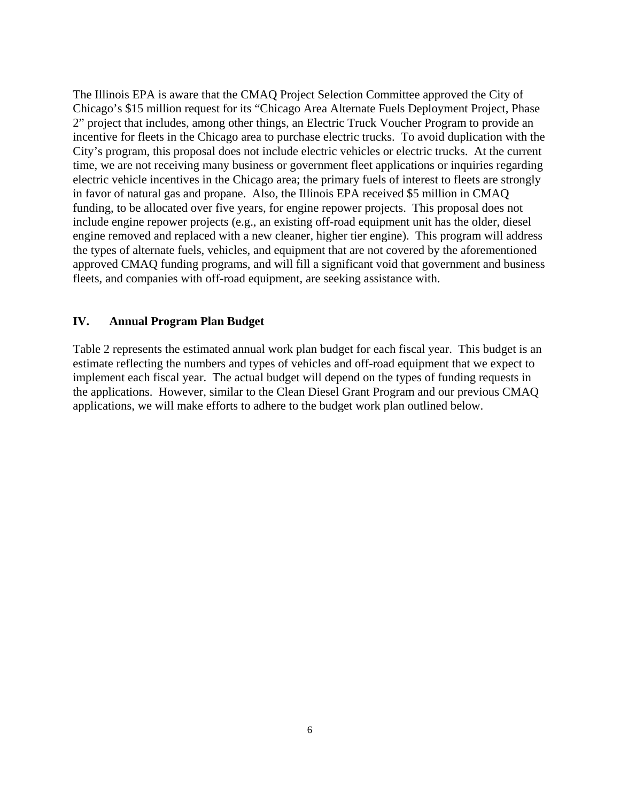The Illinois EPA is aware that the CMAQ Project Selection Committee approved the City of Chicago's \$15 million request for its "Chicago Area Alternate Fuels Deployment Project, Phase 2" project that includes, among other things, an Electric Truck Voucher Program to provide an incentive for fleets in the Chicago area to purchase electric trucks. To avoid duplication with the City's program, this proposal does not include electric vehicles or electric trucks. At the current time, we are not receiving many business or government fleet applications or inquiries regarding electric vehicle incentives in the Chicago area; the primary fuels of interest to fleets are strongly in favor of natural gas and propane. Also, the Illinois EPA received \$5 million in CMAQ funding, to be allocated over five years, for engine repower projects. This proposal does not include engine repower projects (e.g., an existing off-road equipment unit has the older, diesel engine removed and replaced with a new cleaner, higher tier engine). This program will address the types of alternate fuels, vehicles, and equipment that are not covered by the aforementioned approved CMAQ funding programs, and will fill a significant void that government and business fleets, and companies with off-road equipment, are seeking assistance with.

#### **IV. Annual Program Plan Budget**

Table 2 represents the estimated annual work plan budget for each fiscal year. This budget is an estimate reflecting the numbers and types of vehicles and off-road equipment that we expect to implement each fiscal year. The actual budget will depend on the types of funding requests in the applications. However, similar to the Clean Diesel Grant Program and our previous CMAQ applications, we will make efforts to adhere to the budget work plan outlined below.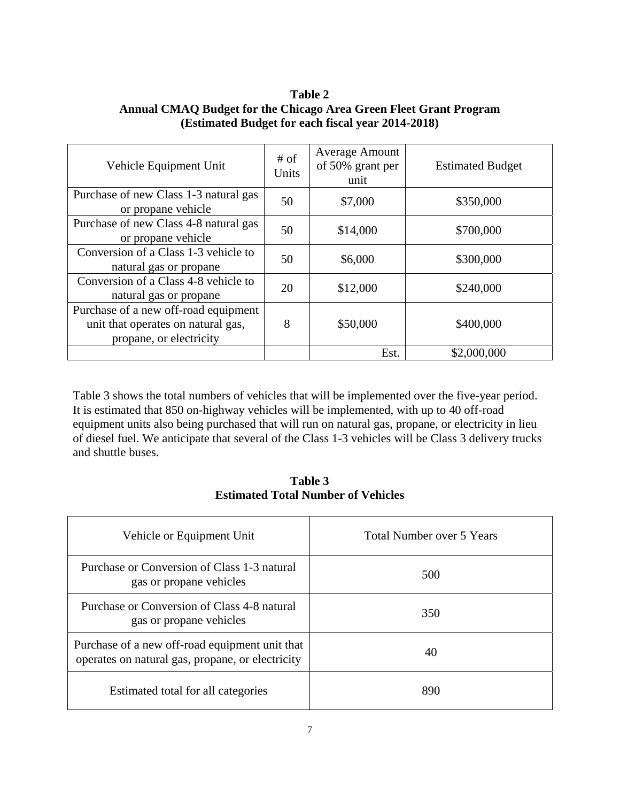**Table 2 Annual CMAQ Budget for the Chicago Area Green Fleet Grant Program (Estimated Budget for each fiscal year 2014-2018)** 

| Vehicle Equipment Unit                                                                                | # of<br>Units | <b>Average Amount</b><br>of 50% grant per<br>unit | <b>Estimated Budget</b> |
|-------------------------------------------------------------------------------------------------------|---------------|---------------------------------------------------|-------------------------|
| Purchase of new Class 1-3 natural gas<br>or propane vehicle                                           | 50            | \$7,000                                           | \$350,000               |
| Purchase of new Class 4-8 natural gas<br>or propane vehicle                                           | 50            | \$14,000                                          | \$700,000               |
| Conversion of a Class 1-3 vehicle to<br>natural gas or propane                                        | 50            | \$6,000                                           | \$300,000               |
| Conversion of a Class 4-8 vehicle to<br>natural gas or propane                                        | 20            | \$12,000                                          | \$240,000               |
| Purchase of a new off-road equipment<br>unit that operates on natural gas,<br>propane, or electricity | 8             | \$50,000                                          | \$400,000               |
|                                                                                                       |               | Est.                                              | \$2,000,000             |

Table 3 shows the total numbers of vehicles that will be implemented over the five-year period. It is estimated that 850 on-highway vehicles will be implemented, with up to 40 off-road equipment units also being purchased that will run on natural gas, propane, or electricity in lieu of diesel fuel. We anticipate that several of the Class 1-3 vehicles will be Class 3 delivery trucks and shuttle buses.

**Table 3 Estimated Total Number of Vehicles** 

| Vehicle or Equipment Unit                                                                          | <b>Total Number over 5 Years</b> |
|----------------------------------------------------------------------------------------------------|----------------------------------|
| Purchase or Conversion of Class 1-3 natural<br>gas or propane vehicles                             | 500                              |
| Purchase or Conversion of Class 4-8 natural<br>gas or propane vehicles                             | 350                              |
| Purchase of a new off-road equipment unit that<br>operates on natural gas, propane, or electricity | 40                               |
| Estimated total for all categories                                                                 | 890                              |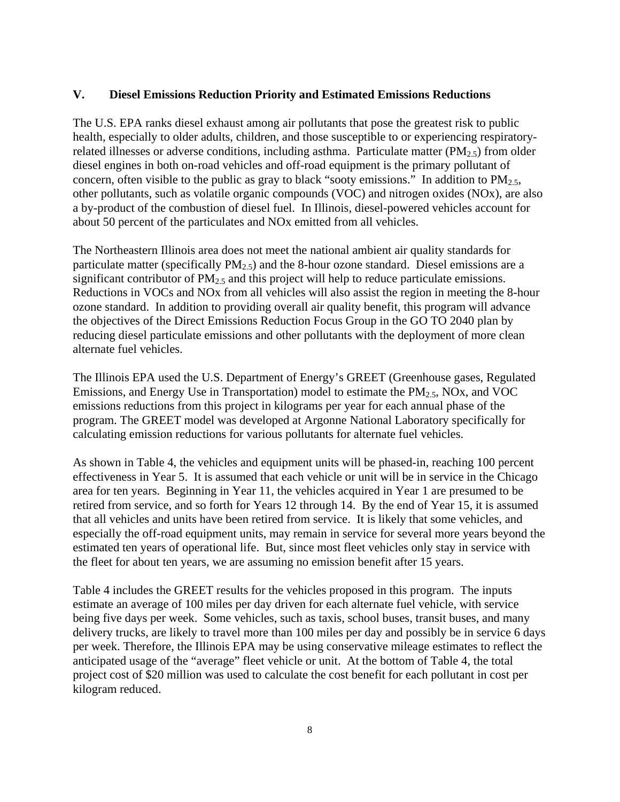#### **V. Diesel Emissions Reduction Priority and Estimated Emissions Reductions**

The U.S. EPA ranks diesel exhaust among air pollutants that pose the greatest risk to public health, especially to older adults, children, and those susceptible to or experiencing respiratoryrelated illnesses or adverse conditions, including asthma. Particulate matter (PM<sub>2.5</sub>) from older diesel engines in both on-road vehicles and off-road equipment is the primary pollutant of concern, often visible to the public as gray to black "sooty emissions." In addition to  $PM_{2.5}$ , other pollutants, such as volatile organic compounds (VOC) and nitrogen oxides (NOx), are also a by-product of the combustion of diesel fuel. In Illinois, diesel-powered vehicles account for about 50 percent of the particulates and NOx emitted from all vehicles.

The Northeastern Illinois area does not meet the national ambient air quality standards for particulate matter (specifically  $PM_{2.5}$ ) and the 8-hour ozone standard. Diesel emissions are a significant contributor of  $PM<sub>2.5</sub>$  and this project will help to reduce particulate emissions. Reductions in VOCs and NOx from all vehicles will also assist the region in meeting the 8-hour ozone standard. In addition to providing overall air quality benefit, this program will advance the objectives of the Direct Emissions Reduction Focus Group in the GO TO 2040 plan by reducing diesel particulate emissions and other pollutants with the deployment of more clean alternate fuel vehicles.

The Illinois EPA used the U.S. Department of Energy's GREET (Greenhouse gases, Regulated Emissions, and Energy Use in Transportation) model to estimate the  $PM<sub>2.5</sub>$ , NOx, and VOC emissions reductions from this project in kilograms per year for each annual phase of the program. The GREET model was developed at Argonne National Laboratory specifically for calculating emission reductions for various pollutants for alternate fuel vehicles.

As shown in Table 4, the vehicles and equipment units will be phased-in, reaching 100 percent effectiveness in Year 5. It is assumed that each vehicle or unit will be in service in the Chicago area for ten years. Beginning in Year 11, the vehicles acquired in Year 1 are presumed to be retired from service, and so forth for Years 12 through 14. By the end of Year 15, it is assumed that all vehicles and units have been retired from service. It is likely that some vehicles, and especially the off-road equipment units, may remain in service for several more years beyond the estimated ten years of operational life. But, since most fleet vehicles only stay in service with the fleet for about ten years, we are assuming no emission benefit after 15 years.

Table 4 includes the GREET results for the vehicles proposed in this program. The inputs estimate an average of 100 miles per day driven for each alternate fuel vehicle, with service being five days per week. Some vehicles, such as taxis, school buses, transit buses, and many delivery trucks, are likely to travel more than 100 miles per day and possibly be in service 6 days per week. Therefore, the Illinois EPA may be using conservative mileage estimates to reflect the anticipated usage of the "average" fleet vehicle or unit. At the bottom of Table 4, the total project cost of \$20 million was used to calculate the cost benefit for each pollutant in cost per kilogram reduced.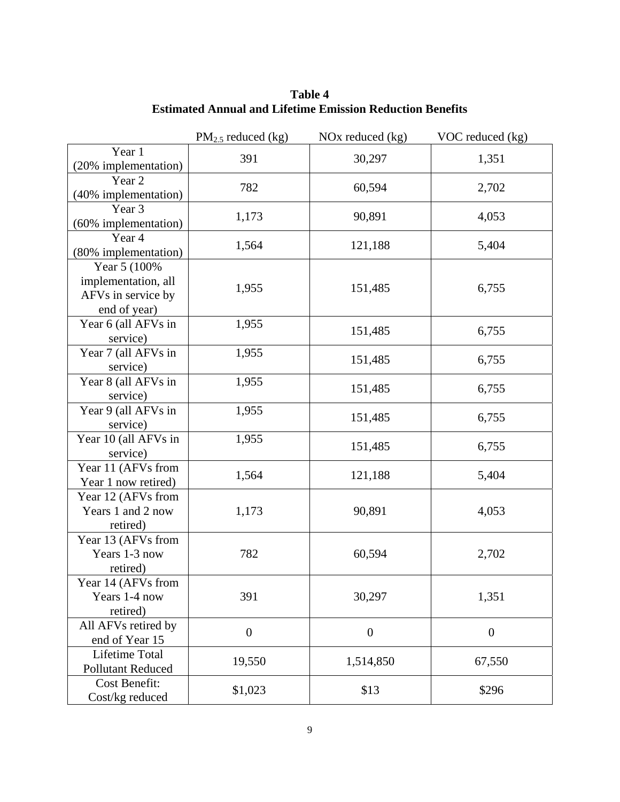|                                                                           | $PM2.5$ reduced (kg) | NOx reduced $(kg)$ | VOC reduced (kg) |
|---------------------------------------------------------------------------|----------------------|--------------------|------------------|
| Year 1<br>(20% implementation)                                            | 391                  | 30,297             | 1,351            |
| Year 2<br>(40% implementation)                                            | 782                  | 60,594             | 2,702            |
| Year 3<br>(60% implementation)                                            | 1,173                | 90,891             | 4,053            |
| Year 4<br>(80% implementation)                                            | 1,564                | 121,188            | 5,404            |
| Year 5 (100%<br>implementation, all<br>AFVs in service by<br>end of year) | 1,955                | 151,485            | 6,755            |
| Year 6 (all AFVs in<br>service)                                           | 1,955                | 151,485            | 6,755            |
| Year 7 (all AFVs in<br>service)                                           | 1,955                | 151,485            | 6,755            |
| Year 8 (all AFVs in<br>service)                                           | 1,955                | 151,485            | 6,755            |
| Year 9 (all AFVs in<br>service)                                           | 1,955                | 151,485            | 6,755            |
| Year 10 (all AFVs in<br>service)                                          | 1,955                | 151,485            | 6,755            |
| Year 11 (AFVs from<br>Year 1 now retired)                                 | 1,564                | 121,188            | 5,404            |
| Year 12 (AFVs from<br>Years 1 and 2 now<br>retired)                       | 1,173                | 90,891             | 4,053            |
| Year 13 (AFVs from<br>Years 1-3 now<br>retired)                           | 782                  | 60,594             | 2,702            |
| Year 14 (AFVs from<br>Years 1-4 now<br>retired)                           | 391                  | 30,297             | 1,351            |
| All AFVs retired by<br>end of Year 15                                     | $\boldsymbol{0}$     | $\boldsymbol{0}$   | $\overline{0}$   |
| Lifetime Total<br><b>Pollutant Reduced</b>                                | 19,550               | 1,514,850          | 67,550           |
| <b>Cost Benefit:</b><br>Cost/kg reduced                                   | \$1,023              | \$13               | \$296            |

**Table 4 Estimated Annual and Lifetime Emission Reduction Benefits**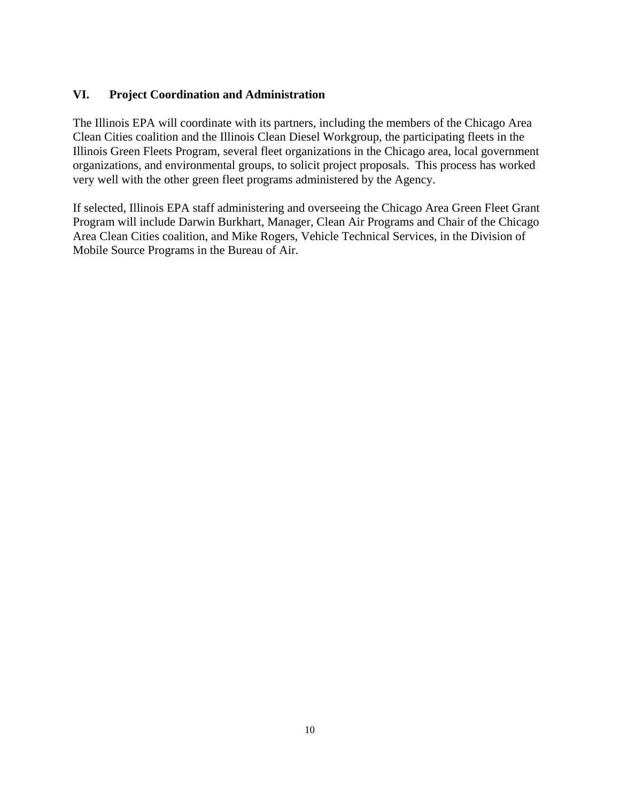## **VI. Project Coordination and Administration**

The Illinois EPA will coordinate with its partners, including the members of the Chicago Area Clean Cities coalition and the Illinois Clean Diesel Workgroup, the participating fleets in the Illinois Green Fleets Program, several fleet organizations in the Chicago area, local government organizations, and environmental groups, to solicit project proposals. This process has worked very well with the other green fleet programs administered by the Agency.

If selected, Illinois EPA staff administering and overseeing the Chicago Area Green Fleet Grant Program will include Darwin Burkhart, Manager, Clean Air Programs and Chair of the Chicago Area Clean Cities coalition, and Mike Rogers, Vehicle Technical Services, in the Division of Mobile Source Programs in the Bureau of Air.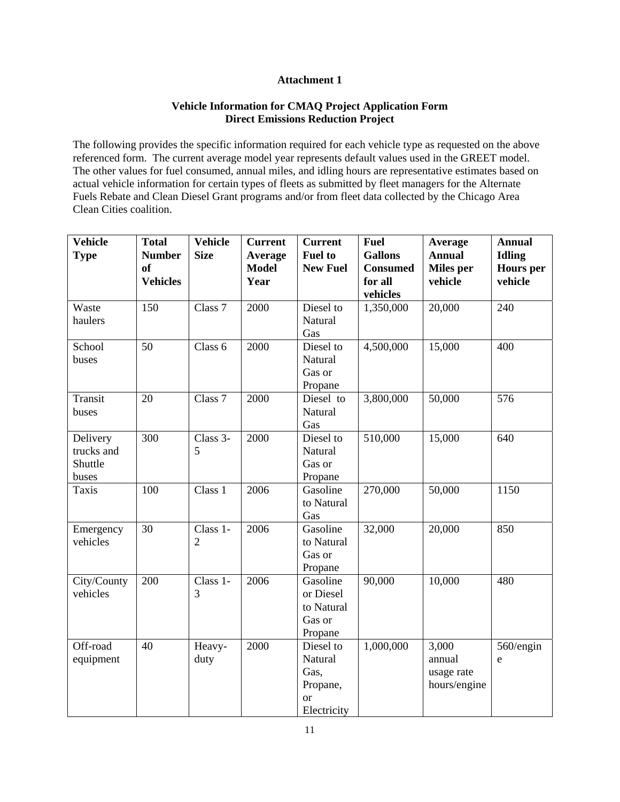#### **Attachment 1**

#### **Vehicle Information for CMAQ Project Application Form Direct Emissions Reduction Project**

The following provides the specific information required for each vehicle type as requested on the above referenced form. The current average model year represents default values used in the GREET model. The other values for fuel consumed, annual miles, and idling hours are representative estimates based on actual vehicle information for certain types of fleets as submitted by fleet managers for the Alternate Fuels Rebate and Clean Diesel Grant programs and/or from fleet data collected by the Chicago Area Clean Cities coalition.

| <b>Vehicle</b><br><b>Type</b> | <b>Total</b><br><b>Number</b> | <b>Vehicle</b><br><b>Size</b> | <b>Current</b><br><b>Average</b> | <b>Current</b><br><b>Fuel to</b> | <b>Fuel</b><br><b>Gallons</b> | Average<br><b>Annual</b> | <b>Annual</b><br><b>Idling</b> |
|-------------------------------|-------------------------------|-------------------------------|----------------------------------|----------------------------------|-------------------------------|--------------------------|--------------------------------|
|                               | <sub>of</sub>                 |                               | <b>Model</b>                     | <b>New Fuel</b>                  | <b>Consumed</b>               | <b>Miles</b> per         | <b>Hours</b> per               |
|                               | <b>Vehicles</b>               |                               | Year                             |                                  | for all                       | vehicle                  | vehicle                        |
|                               |                               |                               |                                  |                                  | vehicles                      |                          |                                |
| Waste                         | 150                           | Class 7                       | 2000                             | Diesel to                        | 1,350,000                     | 20,000                   | 240                            |
| haulers                       |                               |                               |                                  | Natural                          |                               |                          |                                |
|                               |                               |                               |                                  | Gas                              |                               |                          |                                |
| School                        | 50                            | Class 6                       | 2000                             | Diesel to                        | 4,500,000                     | 15,000                   | 400                            |
| buses                         |                               |                               |                                  | Natural                          |                               |                          |                                |
|                               |                               |                               |                                  | Gas or                           |                               |                          |                                |
|                               |                               |                               |                                  | Propane                          |                               |                          |                                |
| Transit                       | 20                            | Class 7                       | 2000                             | Diesel to                        | 3,800,000                     | 50,000                   | 576                            |
| buses                         |                               |                               |                                  | Natural                          |                               |                          |                                |
|                               |                               |                               |                                  | Gas                              |                               |                          |                                |
| Delivery                      | 300                           | Class 3-<br>5                 | 2000                             | Diesel to                        | 510,000                       | 15,000                   | 640                            |
| trucks and<br>Shuttle         |                               |                               |                                  | Natural<br>Gas or                |                               |                          |                                |
| buses                         |                               |                               |                                  | Propane                          |                               |                          |                                |
| <b>Taxis</b>                  | 100                           | Class 1                       | 2006                             | Gasoline                         | 270,000                       | 50,000                   | 1150                           |
|                               |                               |                               |                                  | to Natural                       |                               |                          |                                |
|                               |                               |                               |                                  | Gas                              |                               |                          |                                |
| Emergency                     | 30                            | Class 1-                      | 2006                             | Gasoline                         | 32,000                        | 20,000                   | 850                            |
| vehicles                      |                               | $\sqrt{2}$                    |                                  | to Natural                       |                               |                          |                                |
|                               |                               |                               |                                  | Gas or                           |                               |                          |                                |
|                               |                               |                               |                                  | Propane                          |                               |                          |                                |
| City/County                   | 200                           | Class 1-                      | 2006                             | Gasoline                         | 90,000                        | 10,000                   | 480                            |
| vehicles                      |                               | 3                             |                                  | or Diesel                        |                               |                          |                                |
|                               |                               |                               |                                  | to Natural                       |                               |                          |                                |
|                               |                               |                               |                                  | Gas or                           |                               |                          |                                |
|                               |                               |                               |                                  | Propane                          |                               |                          |                                |
| Off-road                      | 40                            | Heavy-                        | 2000                             | Diesel to                        | 1,000,000                     | 3,000                    | 560/engin                      |
| equipment                     |                               | duty                          |                                  | Natural                          |                               | annual                   | e                              |
|                               |                               |                               |                                  | Gas,                             |                               | usage rate               |                                |
|                               |                               |                               |                                  | Propane,                         |                               | hours/engine             |                                |
|                               |                               |                               |                                  | <sub>or</sub>                    |                               |                          |                                |
|                               |                               |                               |                                  | Electricity                      |                               |                          |                                |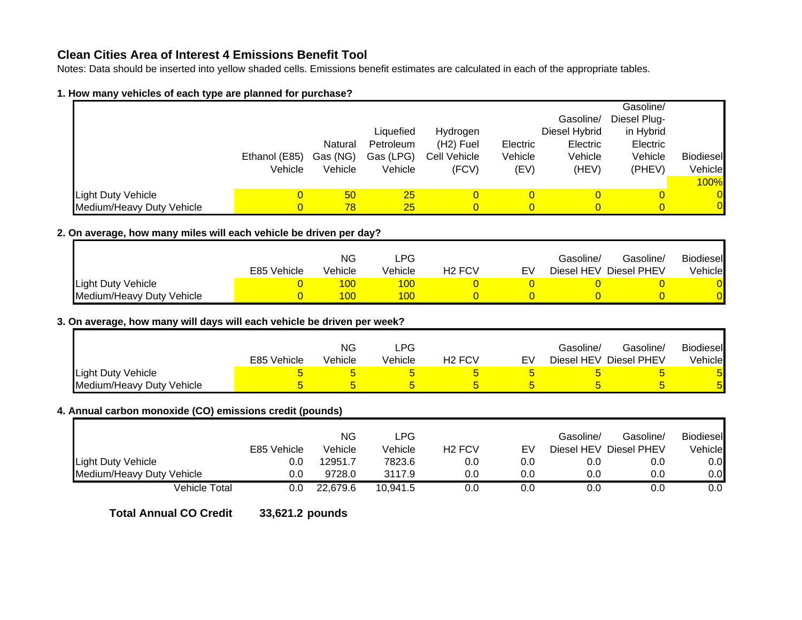## **Clean Cities Area of Interest 4 Emissions Benefit Tool**

Notes: Data should be inserted into yellow shaded cells. Emissions benefit estimates are calculated in each of the appropriate tables.

#### **1. How many vehicles of each type are planned for purchase?**

|                           |               |          |           |                        |          |               | Gasoline/    |                  |
|---------------------------|---------------|----------|-----------|------------------------|----------|---------------|--------------|------------------|
|                           |               |          |           |                        |          | Gasoline/     | Diesel Plug- |                  |
|                           |               |          | Liquefied | Hydrogen               |          | Diesel Hybrid | in Hybrid    |                  |
|                           |               | Natural  | Petroleum | (H <sub>2</sub> ) Fuel | Electric | Electric      | Electric     |                  |
|                           | Ethanol (E85) | Gas (NG) | Gas (LPG) | Cell Vehicle           | Vehicle  | Vehicle       | Vehicle      | <b>Biodiesel</b> |
|                           | Vehicle       | Vehicle  | Vehicle   | (FCV)                  | (EV)     | (HEV)         | (PHEV)       | Vehicle          |
|                           |               |          |           |                        |          |               |              | <b>100%</b>      |
| Light Duty Vehicle        | 0             | 50       | 25        | 0                      |          |               | 0            | $\overline{0}$   |
| Medium/Heavy Duty Vehicle |               | 78       | 25        | $\Omega$               |          |               |              | $\overline{0}$   |

#### **2. On average, how many miles will each vehicle be driven per day?**

|                           |             | <b>NG</b> | LPG                         |        |    | Gasoline/  | Gasoline/   | <b>Biodiesel</b> |
|---------------------------|-------------|-----------|-----------------------------|--------|----|------------|-------------|------------------|
|                           | E85 Vehicle | Vehicle   | √ehicle                     | H2 FCV | EV | Diesel HEV | Diesel PHEV | Vehiclel         |
| Light Duty Vehicle        |             |           | $\overline{\phantom{0}}$ 00 |        |    |            |             |                  |
| Medium/Heavy Duty Vehicle |             |           | 100                         |        |    |            |             |                  |

### **3. On average, how many will days will each vehicle be driven per week?**

|                           |             | <b>NG</b> | LPG     |                                |    | Gasoline/ | Gasoline/               | <b>Biodiesel</b> |
|---------------------------|-------------|-----------|---------|--------------------------------|----|-----------|-------------------------|------------------|
|                           | E85 Vehicle | Vehicle   | Vehicle | H <sub>2</sub> FC <sub>V</sub> | EV |           | Diesel HEV  Diesel PHEV | Vehicle          |
| <b>Light Duty Vehicle</b> |             |           |         |                                |    |           |                         | $\mathbf{b}$     |
| Medium/Heavy Duty Vehicle |             |           |         |                                |    |           |                         | $\mathbf{b}$     |

### **4. Annual carbon monoxide (CO) emissions credit (pounds)**

|                           | E85 Vehicle | ΝG<br>Vehicle | ∟PG<br>Vehicle | H <sub>2</sub> FC <sub>V</sub> | EV  | Gasoline/ | Gasoline/<br>Diesel HEV Diesel PHEV | <b>Biodiesel</b><br>Vehicle |
|---------------------------|-------------|---------------|----------------|--------------------------------|-----|-----------|-------------------------------------|-----------------------------|
| Light Duty Vehicle        | 0.0         | 12951.7       | 7823.6         | 0.0                            | 0.0 | 0.0       | 0.0                                 | $0.0\,$                     |
| Medium/Heavy Duty Vehicle | 0.0         | 9728.0        | 3117.9         | 0.0                            | 0.0 | 0.0       | 0.0                                 | 0.0                         |
| Vehicle Total             | 0.0         | 22.679.6      | 10.941.5       | 0.0                            | 0.0 | 0.0       | 0.0                                 | 0.0                         |

**Total Annual CO Credit 33,621.2 pounds**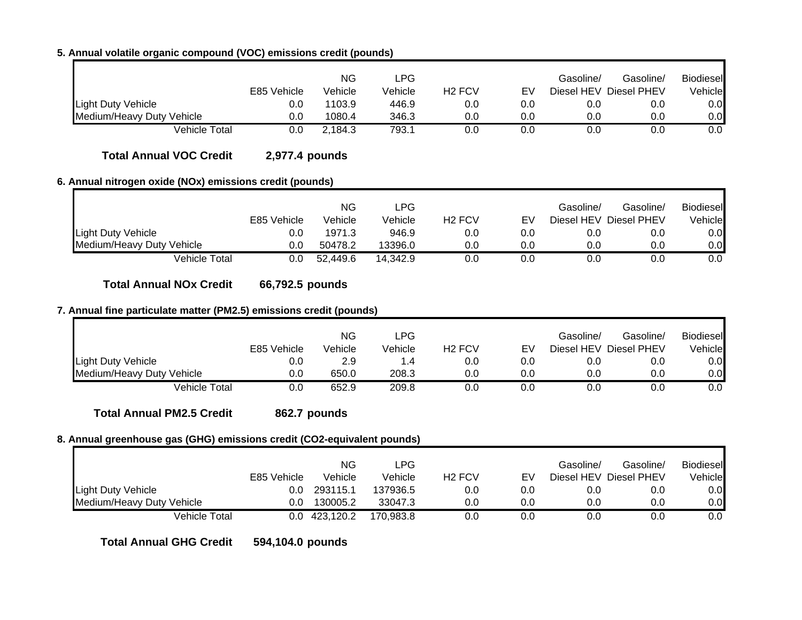# **5. Annual volatile organic compound (VOC) emissions credit (pounds)**

|                           | E85 Vehicle | ΝG<br>Vehicle | ∟PG<br>Vehicle | H <sub>2</sub> FC <sub>V</sub> | EV  | Gasoline/ | Gasoline/<br>Diesel HEV Diesel PHEV | <b>Biodiesel</b><br>Vehicle |
|---------------------------|-------------|---------------|----------------|--------------------------------|-----|-----------|-------------------------------------|-----------------------------|
| Light Duty Vehicle        | 0.0         | 1103.9        | 446.9          | 0.0                            | 0.0 | 0.0       | 0.0                                 | 0.0                         |
| Medium/Heavy Duty Vehicle | 0.0         | 1080.4        | 346.3          | 0.0                            | 0.0 | 0.0       | 0.0                                 | 0.0                         |
| Vehicle Total             | 0.0         | 2.184.3       | 793.1          | 0.0                            | 0.0 |           | 0.C                                 | 0.0                         |

**Total Annual VOC Credit 2,977.4 pounds**

### **6. Annual nitrogen oxide (NOx) emissions credit (pounds)**

|                           | E85 Vehicle | ΝG<br>Vehicle | LPG.<br>Vehicle | H <sub>2</sub> FCV | E٧  | Gasoline/<br>Diesel HEV | Gasoline/<br>Diesel PHEV | <b>Biodiesel</b><br>Vehicle∎ |
|---------------------------|-------------|---------------|-----------------|--------------------|-----|-------------------------|--------------------------|------------------------------|
| <b>Light Duty Vehicle</b> | 0.0         | 1971.3        | 946.9           | 0.0                | 0.0 | 0.0                     | 0.0                      | 0.0                          |
| Medium/Heavy Duty Vehicle | 0.0         | 50478.2       | 13396.0         | 0.0                | 0.0 | 0.0                     | 0.0                      | 0.0                          |
| Vehicle Total             | 0.0         | 52.449.6      | 14.342.9        | 0.0                | 0.0 | 0.0                     | 0.0                      | 0.0                          |

**Total Annual NOx Credit 66,792.5 pounds**

## **7. Annual fine particulate matter (PM2.5) emissions credit (pounds)**

|                           | E85 Vehicle | ΝG<br>Vehicle | LPG<br>Vehicle | H <sub>2</sub> FC <sub>V</sub> | EV  | Gasoline/ | Gasoline/<br>Diesel HEV Diesel PHEV | <b>Biodiesel</b><br>Vehicle |
|---------------------------|-------------|---------------|----------------|--------------------------------|-----|-----------|-------------------------------------|-----------------------------|
| <b>Light Duty Vehicle</b> | 0.0         | 2.9           |                | 0.0                            | 0.0 | 0.0       | 0.0                                 | 0.0                         |
| Medium/Heavy Duty Vehicle | 0.0         | 650.0         | 208.3          | 0.0                            | 0.0 | 0.0       | 0.0                                 | 0.0                         |
| Vehicle Total             | 0.0         | 652.9         | 209.8          | 0.0                            | 0.0 | 0.0       | 0.0                                 | 0.0                         |

**Total Annual PM2.5 Credit 862.7 pounds**

## **8. Annual greenhouse gas (GHG) emissions credit (CO2-equivalent pounds)**

|                           | E85 Vehicle | ΝG<br>Vehicle | LPG.<br>Vehicle | H <sub>2</sub> FC <sub>V</sub> | FV  | Gasoline/ | Gasoline/<br>Diesel HEV Diesel PHEV | <b>Biodiesel</b><br>Vehicle |
|---------------------------|-------------|---------------|-----------------|--------------------------------|-----|-----------|-------------------------------------|-----------------------------|
| <b>Light Duty Vehicle</b> | 0.0         | 293115.1      | 137936.5        | 0.0                            | 0.0 | 0.0       | 0.C                                 | 0.0                         |
| Medium/Heavy Duty Vehicle | 0.0         | 130005.2      | 33047.3         | 0.0                            | 0.0 | 0.0       | 0.0                                 | 0.0                         |
| Vehicle Total             |             | 0.0 423.120.2 | 170.983.8       | 0.0                            | 0.0 | 0.0       |                                     | 0.0                         |

**Total Annual GHG Credit 594,104.0 pounds**